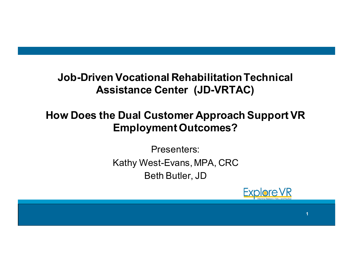#### **Job-Driven Vocational Rehabilitation Technical Assistance Center (JD-VRTAC)**

### **How Does the Dual Customer Approach Support VR Employment Outcomes?**

Presenters: Kathy West-Evans, MPA, CRC Beth Butler, JD



**1**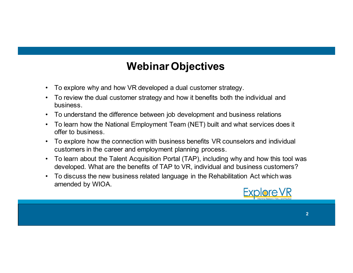### **Webinar Objectives**

- To explore why and how VR developed a dual customer strategy.
- To review the dual customer strategy and how it benefits both the individual and business.
- To understand the difference between job development and business relations
- To learn how the National Employment Team (NET) built and what services does it offer to business.
- To explore how the connection with business benefits VR counselors and individual customers in the career and employment planning process.
- To learn about the Talent Acquisition Portal (TAP), including why and how this tool was developed. What are the benefits of TAP to VR, individual and business customers?
- To discuss the new business related language in the Rehabilitation Act which was amended by WIOA.

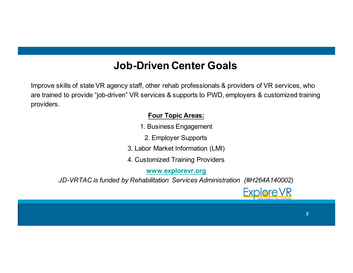#### **Job-Driven Center Goals**

Improve skills of state VR agency staff, other rehab professionals & providers of VR services, who are trained to provide "job-driven" VR services & supports to PWD, employers & customized training providers.

#### **Four Topic Areas:**

- 1. Business Engagement
	- 2. Employer Supports
- 3. Labor Market Information (LMI)
- 4. Customized Training Providers

**www.explorevr.org**

*JD-VRTAC is funded by Rehabilitation Services Administration (#H264A140002)*

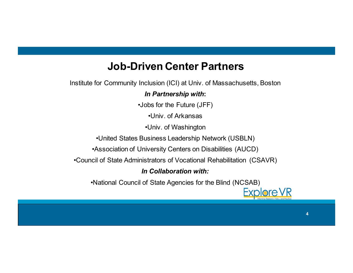#### **Job-Driven Center Partners**

Institute for Community Inclusion (ICI) at Univ. of Massachusetts, Boston

#### *In Partnership with***:**

•Jobs for the Future (JFF)

•Univ. of Arkansas

•Univ. of Washington

•United States Business Leadership Network (USBLN)

•Association of University Centers on Disabilities (AUCD)

•Council of State Administrators of Vocational Rehabilitation (CSAVR)

#### *In Collaboration with:*

•National Council of State Agencies for the Blind (NCSAB)

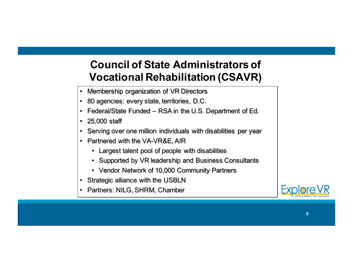#### **Council of State Administrators of Vocational Rehabilitation (CSAVR)**

- Membership organization of VR Directors
- 80 agencies: every state, territories, D.C.
- Federal/State Funded RSA in the U.S. Department of Ed.
- 25,000 staff
- Serving over one million individuals with disabilities per year
- Partnered with the VA-VR&E, AIR
	- Largest talent pool of people with disabilities
	- Supported by VR leadership and Business Consultants
	- Vendor Network of 10,000 Community Partners
- Strategic alliance with the USBLN
- Partners: NILG, SHRM, Chamber

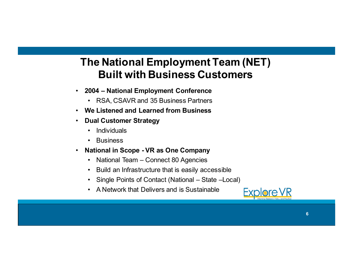#### **The National Employment Team (NET) Built with Business Customers**

- **2004 – National Employment Conference**
	- RSA, CSAVR and 35 Business Partners
- **We Listened and Learned from Business**
- **Dual Customer Strategy**
	- Individuals
	- **Business**
- **National in Scope - VR as One Company**
	- National Team Connect 80 Agencies
	- Build an Infrastructure that is easily accessible
	- Single Points of Contact (National State –Local)
	- A Network that Delivers and is Sustainable

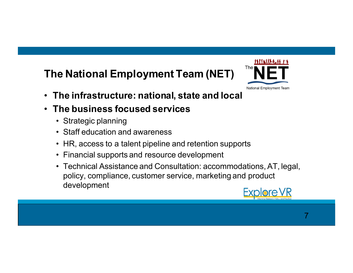# **The National Employment Team (NET)**



- **The infrastructure: national, state and local**
- **The business focused services**
	- Strategic planning
	- Staff education and awareness
	- HR, access to a talent pipeline and retention supports
	- Financial supports and resource development
	- Technical Assistance and Consultation: accommodations, AT, legal, policy, compliance, customer service, marketing and product development

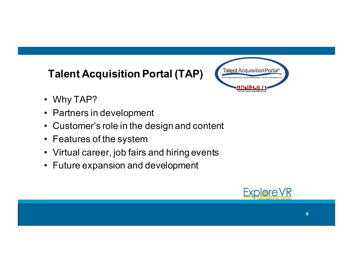# **Talent Acquisition Portal (TAP)**



- Why TAP?
- Partners in development
- Customer's role in the design and content
- Features of the system
- Virtual career, job fairs and hiring events
- Future expansion and development

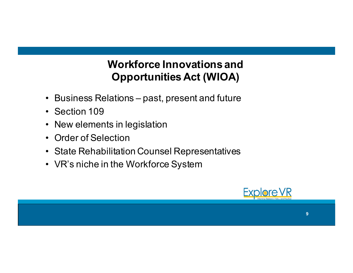### **Workforce Innovations and Opportunities Act (WIOA)**

- Business Relations past, present and future
- Section 109
- New elements in legislation
- Order of Selection
- State Rehabilitation Counsel Representatives
- VR's niche in the Workforce System

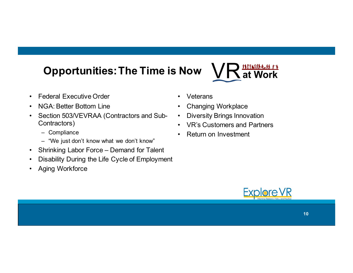# **Opportunities: The Time is Now**

- Federal Executive Order
- NGA: Better Bottom Line
- Section 503/VEVRAA (Contractors and Sub-Contractors)
	- Compliance
	- "We just don't know what we don't know"
- Shrinking Labor Force Demand for Talent
- Disability During the Life Cycle of Employment
- Aging Workforce
- Veterans
- Changing Workplace
- Diversity Brings Innovation
- VR's Customers and Partners
- Return on Investment



<del>uritations (</del><br>A at Work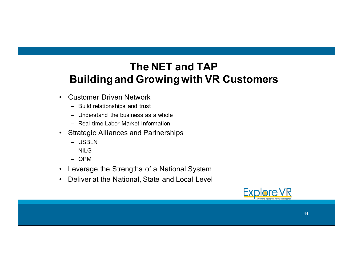#### **The NET and TAP Building and Growing with VR Customers**

- Customer Driven Network
	- Build relationships and trust
	- Understand the business as a whole
	- Real time Labor Market Information
- Strategic Alliances and Partnerships
	- USBLN
	- NILG
	- OPM
- Leverage the Strengths of a National System
- Deliver at the National, State and Local Level

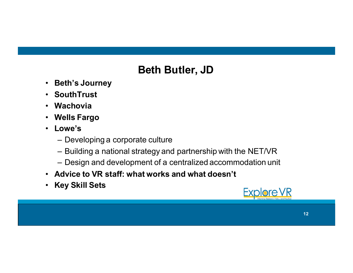## **Beth Butler, JD**

- **Beth's Journey**
- **SouthTrust**
- **Wachovia**
- **Wells Fargo**
- **Lowe's**
	- Developing a corporate culture
	- Building a national strategy and partnership with the NET/VR
	- Design and development of a centralized accommodation unit
- **Advice to VR staff: what works and what doesn't**
- **Key Skill Sets**